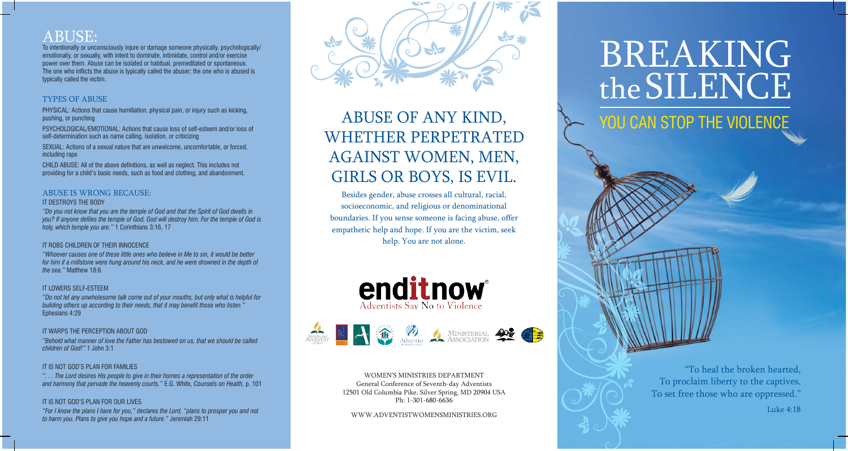"To heal the broken hearted, To proclaim liberty to the captives, To set free those who are oppressed."

Luke 4:18

## ABUSE:

To intentionally or unconsciously injure or damage someone physically, psychologically/ emotionally, or sexually, with intent to dominate, intimidate, control and/or exercise power over them. Abuse can be isolated or habitual, premeditated or spontaneous. The one who inflicts the abuse is typically called the abuser; the one who is abused is typically called the victim.

### TYPES OF ABUSE

PHYSICAL: Actions that cause humiliation, physical pain, or injury such as kicking, pushing, or punching

PSYCHOLOGICAL/EMOTIONAL: Actions that cause loss of self-esteem and/or loss of self-determination such as name calling, isolation, or criticizing

SEXUAL: Actions of a sexual nature that are unwelcome, uncomfortable, or forced, including rape

CHILD ABUSE: All of the above definitions, as well as neglect. This includes not providing for a child's basic needs, such as food and clothing, and abandonment.

## ABUSE IS WRONG BECAUSE:

#### IT DESTROYS THE BODY

*"Do you not know that you are the temple of God and that the Spirit of God dwells in you? If anyone defiles the temple of God, God will destroy him. For the temple of God is holy, which temple you are."* 1 Corinthians 3:16, 17

#### IT ROBS CHILDREN OF THEIR INNOCENCE

*"Whoever causes one of these little ones who believe in Me to sin, it would be better for him if a millstone were hung around his neck, and he were drowned in the depth of the sea."* Matthew 18:6

#### IT LOWERS SELF-ESTEEM

*"Do not let any unwholesome talk come out of your mouths, but only what is helpful for building others up according to their needs, that it may benefit those who listen."*  Ephesians 4:29

#### IT WARPS THE PERCEPTION ABOUT GOD

*"Behold what manner of love the Father has bestowed on us, that we should be called children of God!"* 1 John 3:1

#### IT IS NOT GOD'S PLAN FOR FAMILIES

*". . . The Lord desires His people to give in their homes a representation of the order and harmony that pervade the heavenly courts."* E.G. White, *Counsels on Health,* p. 101

#### IT IS NOT GOD'S PLAN FOR OUR LIVES

*"For I know the plans I have for you," declares the Lord, "plans to prosper you and not to harm you. Plans to give you hope and a future."* Jeremiah 29:11



# ABUSE OF ANY KIND, WHETHER PERPETRATED AGAINST WOMEN, MEN, GIRLS OR BOYS, IS EVIL.

Besides gender, abuse crosses all cultural, racial, socioeconomic, and religious or denominational boundaries. If you sense someone is facing abuse, offer empathetic help and hope. If you are the victim, seek help. You are not alone.





WOMEN'S MINISTRIES DEPARTMENT General Conference of Seventh-day Adventists 12501 Old Columbia Pike, Silver Spring, MD 20904 USA Ph: 1-301-680-6636

WWW.ADVENTISTWOMENSMINISTRIES.ORG

# BREAKING theSILENCE YOU CAN STOP THE VIOLENCE